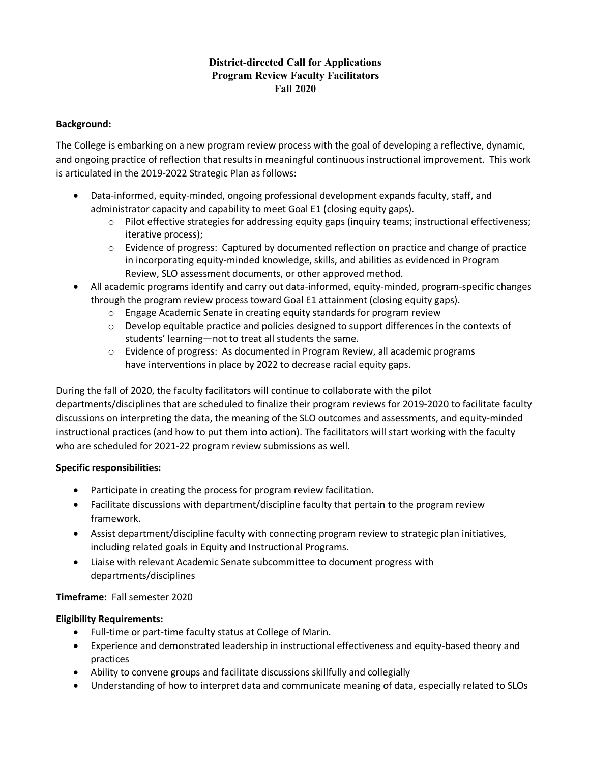## **District-directed Call for Applications Program Review Faculty Facilitators Fall 2020**

### **Background:**

The College is embarking on a new program review process with the goal of developing a reflective, dynamic, and ongoing practice of reflection that results in meaningful continuous instructional improvement. This work is articulated in the 2019-2022 Strategic Plan as follows:

- Data-informed, equity-minded, ongoing professional development expands faculty, staff, and administrator capacity and capability to meet Goal E1 (closing equity gaps).
	- o Pilot effective strategies for addressing equity gaps (inquiry teams; instructional effectiveness; iterative process);
	- $\circ$  Evidence of progress: Captured by documented reflection on practice and change of practice in incorporating equity-minded knowledge, skills, and abilities as evidenced in Program Review, SLO assessment documents, or other approved method.
- All academic programs identify and carry out data-informed, equity-minded, program-specific changes through the program review process toward Goal E1 attainment (closing equity gaps).
	- o Engage Academic Senate in creating equity standards for program review
	- o Develop equitable practice and policies designed to support differences in the contexts of students' learning—not to treat all students the same.
	- $\circ$  Evidence of progress: As documented in Program Review, all academic programs have interventions in place by 2022 to decrease racial equity gaps.

During the fall of 2020, the faculty facilitators will continue to collaborate with the pilot departments/disciplines that are scheduled to finalize their program reviews for 2019-2020 to facilitate faculty discussions on interpreting the data, the meaning of the SLO outcomes and assessments, and equity-minded instructional practices (and how to put them into action). The facilitators will start working with the faculty who are scheduled for 2021-22 program review submissions as well.

### **Specific responsibilities:**

- Participate in creating the process for program review facilitation.
- Facilitate discussions with department/discipline faculty that pertain to the program review framework.
- Assist department/discipline faculty with connecting program review to strategic plan initiatives, including related goals in Equity and Instructional Programs.
- Liaise with relevant Academic Senate subcommittee to document progress with departments/disciplines

### **Timeframe:** Fall semester 2020

### **Eligibility Requirements:**

- Full-time or part-time faculty status at College of Marin.
- Experience and demonstrated leadership in instructional effectiveness and equity-based theory and practices
- Ability to convene groups and facilitate discussions skillfully and collegially
- Understanding of how to interpret data and communicate meaning of data, especially related to SLOs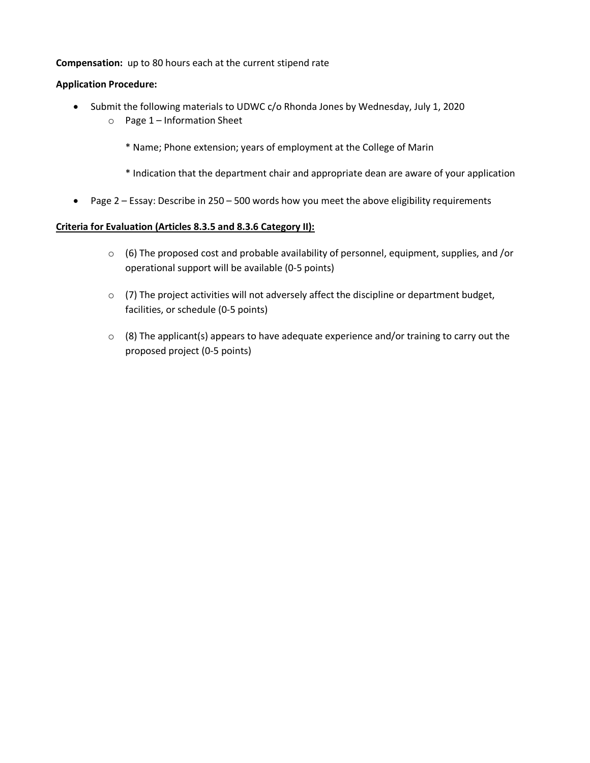### **Compensation:** up to 80 hours each at the current stipend rate

### **Application Procedure:**

- Submit the following materials to UDWC c/o Rhonda Jones by Wednesday, July 1, 2020
	- o Page 1 Information Sheet
		- \* Name; Phone extension; years of employment at the College of Marin
		- \* Indication that the department chair and appropriate dean are aware of your application
- Page 2 Essay: Describe in 250 500 words how you meet the above eligibility requirements

### **Criteria for Evaluation (Articles 8.3.5 and 8.3.6 Category II):**

- $\circ$  (6) The proposed cost and probable availability of personnel, equipment, supplies, and /or operational support will be available (0-5 points)
- $\circ$  (7) The project activities will not adversely affect the discipline or department budget, facilities, or schedule (0-5 points)
- $\circ$  (8) The applicant(s) appears to have adequate experience and/or training to carry out the proposed project (0-5 points)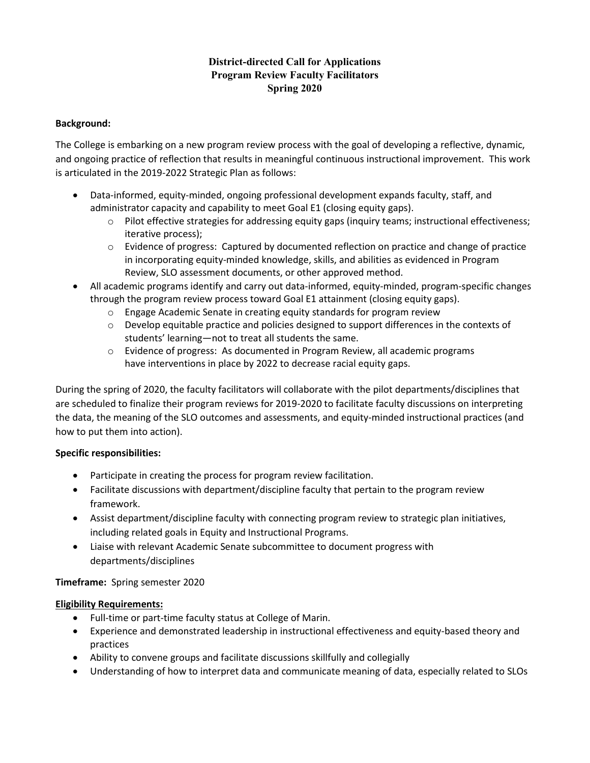## **District-directed Call for Applications Program Review Faculty Facilitators Spring 2020**

### **Background:**

The College is embarking on a new program review process with the goal of developing a reflective, dynamic, and ongoing practice of reflection that results in meaningful continuous instructional improvement. This work is articulated in the 2019-2022 Strategic Plan as follows:

- Data-informed, equity-minded, ongoing professional development expands faculty, staff, and administrator capacity and capability to meet Goal E1 (closing equity gaps).
	- o Pilot effective strategies for addressing equity gaps (inquiry teams; instructional effectiveness; iterative process);
	- $\circ$  Evidence of progress: Captured by documented reflection on practice and change of practice in incorporating equity-minded knowledge, skills, and abilities as evidenced in Program Review, SLO assessment documents, or other approved method.
- All academic programs identify and carry out data-informed, equity-minded, program-specific changes through the program review process toward Goal E1 attainment (closing equity gaps).
	- o Engage Academic Senate in creating equity standards for program review
	- $\circ$  Develop equitable practice and policies designed to support differences in the contexts of students' learning—not to treat all students the same.
	- o Evidence of progress: As documented in Program Review, all academic programs have interventions in place by 2022 to decrease racial equity gaps.

During the spring of 2020, the faculty facilitators will collaborate with the pilot departments/disciplines that are scheduled to finalize their program reviews for 2019-2020 to facilitate faculty discussions on interpreting the data, the meaning of the SLO outcomes and assessments, and equity-minded instructional practices (and how to put them into action).

## **Specific responsibilities:**

- Participate in creating the process for program review facilitation.
- Facilitate discussions with department/discipline faculty that pertain to the program review framework.
- Assist department/discipline faculty with connecting program review to strategic plan initiatives, including related goals in Equity and Instructional Programs.
- Liaise with relevant Academic Senate subcommittee to document progress with departments/disciplines

## **Timeframe:** Spring semester 2020

## **Eligibility Requirements:**

- Full-time or part-time faculty status at College of Marin.
- Experience and demonstrated leadership in instructional effectiveness and equity-based theory and practices
- Ability to convene groups and facilitate discussions skillfully and collegially
- Understanding of how to interpret data and communicate meaning of data, especially related to SLOs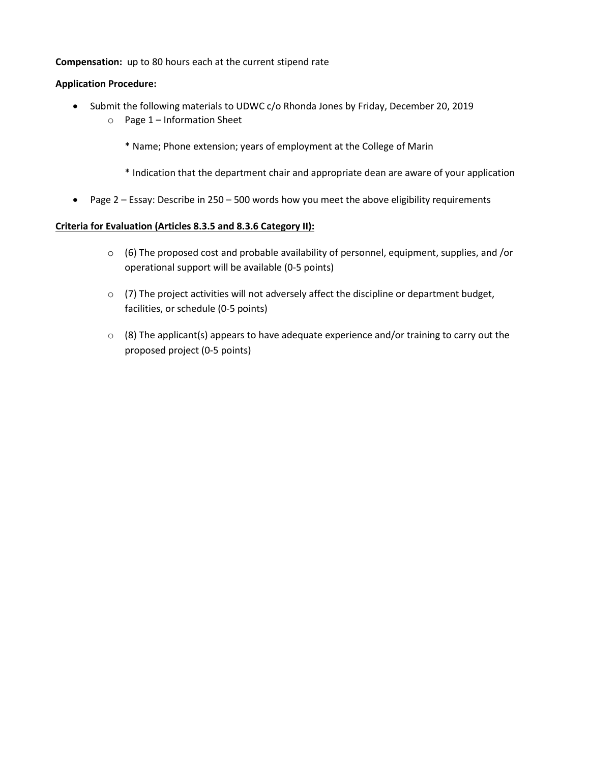### **Compensation:** up to 80 hours each at the current stipend rate

### **Application Procedure:**

- Submit the following materials to UDWC c/o Rhonda Jones by Friday, December 20, 2019
	- o Page 1 Information Sheet
		- \* Name; Phone extension; years of employment at the College of Marin
		- \* Indication that the department chair and appropriate dean are aware of your application
- Page 2 Essay: Describe in 250 500 words how you meet the above eligibility requirements

### **Criteria for Evaluation (Articles 8.3.5 and 8.3.6 Category II):**

- $\circ$  (6) The proposed cost and probable availability of personnel, equipment, supplies, and /or operational support will be available (0-5 points)
- o (7) The project activities will not adversely affect the discipline or department budget, facilities, or schedule (0-5 points)
- $\circ$  (8) The applicant(s) appears to have adequate experience and/or training to carry out the proposed project (0-5 points)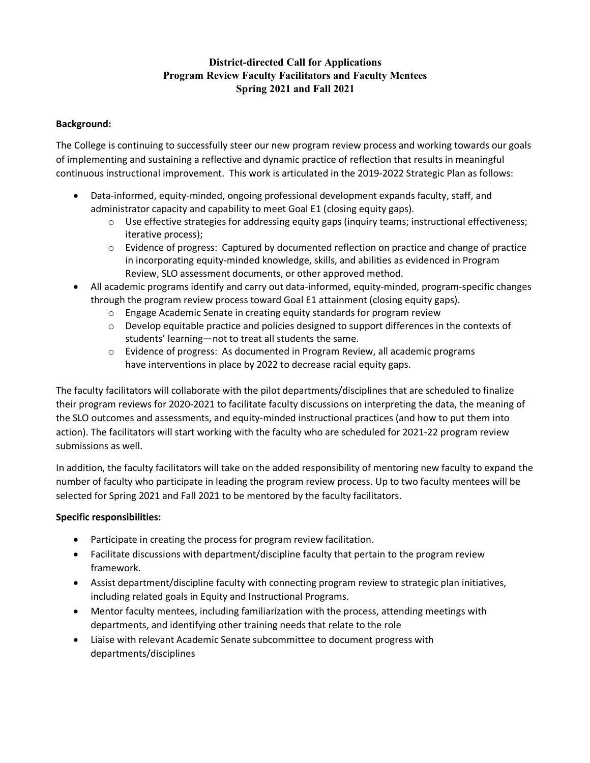# **District-directed Call for Applications Program Review Faculty Facilitators and Faculty Mentees Spring 2021 and Fall 2021**

### **Background:**

The College is continuing to successfully steer our new program review process and working towards our goals of implementing and sustaining a reflective and dynamic practice of reflection that results in meaningful continuous instructional improvement. This work is articulated in the 2019-2022 Strategic Plan as follows:

- Data-informed, equity-minded, ongoing professional development expands faculty, staff, and administrator capacity and capability to meet Goal E1 (closing equity gaps).
	- o Use effective strategies for addressing equity gaps (inquiry teams; instructional effectiveness; iterative process);
	- $\circ$  Evidence of progress: Captured by documented reflection on practice and change of practice in incorporating equity-minded knowledge, skills, and abilities as evidenced in Program Review, SLO assessment documents, or other approved method.
- All academic programs identify and carry out data-informed, equity-minded, program-specific changes through the program review process toward Goal E1 attainment (closing equity gaps).
	- o Engage Academic Senate in creating equity standards for program review
	- o Develop equitable practice and policies designed to support differences in the contexts of students' learning—not to treat all students the same.
	- $\circ$  Evidence of progress: As documented in Program Review, all academic programs have interventions in place by 2022 to decrease racial equity gaps.

The faculty facilitators will collaborate with the pilot departments/disciplines that are scheduled to finalize their program reviews for 2020-2021 to facilitate faculty discussions on interpreting the data, the meaning of the SLO outcomes and assessments, and equity-minded instructional practices (and how to put them into action). The facilitators will start working with the faculty who are scheduled for 2021-22 program review submissions as well.

In addition, the faculty facilitators will take on the added responsibility of mentoring new faculty to expand the number of faculty who participate in leading the program review process. Up to two faculty mentees will be selected for Spring 2021 and Fall 2021 to be mentored by the faculty facilitators.

## **Specific responsibilities:**

- Participate in creating the process for program review facilitation.
- Facilitate discussions with department/discipline faculty that pertain to the program review framework.
- Assist department/discipline faculty with connecting program review to strategic plan initiatives, including related goals in Equity and Instructional Programs.
- Mentor faculty mentees, including familiarization with the process, attending meetings with departments, and identifying other training needs that relate to the role
- Liaise with relevant Academic Senate subcommittee to document progress with departments/disciplines